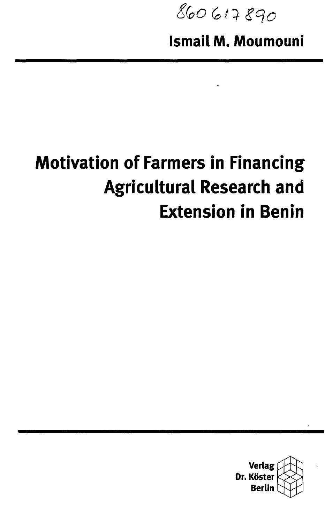860617890

**Ismail M. Moumouni**

## **Motivation of Farmers in Financing Agricultural Research and Extension in Benin**

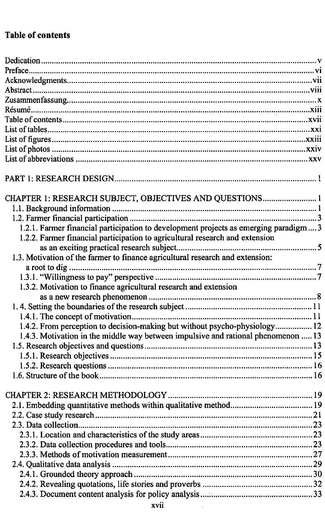## **Table of contents**

| CHAPTER 1: RESEARCH SUBJECT, OBJECTIVES AND QUESTIONS 1                              |  |
|--------------------------------------------------------------------------------------|--|
|                                                                                      |  |
|                                                                                      |  |
| 1.2.1. Farmer financial participation to development projects as emerging paradigm 3 |  |
| 1.2.2. Farmer financial participation to agricultural research and extension         |  |
|                                                                                      |  |
| 1.3. Motivation of the farmer to finance agricultural research and extension:        |  |
|                                                                                      |  |
|                                                                                      |  |
| 1.3.2. Motivation to finance agricultural research and extension                     |  |
|                                                                                      |  |
|                                                                                      |  |
|                                                                                      |  |
| 1.4.2. From perception to decision-making but without psycho-physiology 12           |  |
| 1.4.3. Motivation in the middle way between impulsive and rational phenomenon  13    |  |
|                                                                                      |  |
|                                                                                      |  |
|                                                                                      |  |
|                                                                                      |  |
|                                                                                      |  |
|                                                                                      |  |
|                                                                                      |  |
|                                                                                      |  |
|                                                                                      |  |
|                                                                                      |  |
|                                                                                      |  |
|                                                                                      |  |
|                                                                                      |  |
|                                                                                      |  |
|                                                                                      |  |
|                                                                                      |  |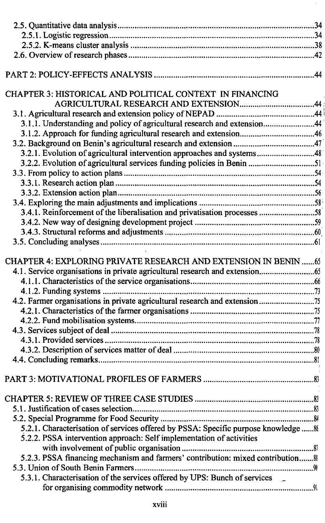| CHAPTER 3: HISTORICAL AND POLITICAL CONTEXT IN FINANCING                           |  |
|------------------------------------------------------------------------------------|--|
|                                                                                    |  |
|                                                                                    |  |
| 3.1.1. Understanding and policy of agricultural research and extension44           |  |
| 3.1.2. Approach for funding agricultural research and extension46                  |  |
|                                                                                    |  |
| 3.2.1. Evolution of agricultural intervention approaches and systems48             |  |
|                                                                                    |  |
|                                                                                    |  |
|                                                                                    |  |
|                                                                                    |  |
|                                                                                    |  |
| 3.4.1. Reinforcement of the liberalisation and privatisation processes 58          |  |
|                                                                                    |  |
|                                                                                    |  |
|                                                                                    |  |
|                                                                                    |  |
| CHAPTER 4: EXPLORING PRIVATE RESEARCH AND EXTENSION IN BENIN 65                    |  |
|                                                                                    |  |
|                                                                                    |  |
|                                                                                    |  |
| 4.2. Farmer organisations in private agricultural research and extension75         |  |
|                                                                                    |  |
|                                                                                    |  |
|                                                                                    |  |
|                                                                                    |  |
|                                                                                    |  |
|                                                                                    |  |
|                                                                                    |  |
|                                                                                    |  |
|                                                                                    |  |
|                                                                                    |  |
|                                                                                    |  |
|                                                                                    |  |
| 5.2.1. Characterisation of services offered by PSSA: Specific purpose knowledge  & |  |
| 5.2.2. PSSA intervention approach: Self implementation of activities               |  |
|                                                                                    |  |
| 5.2.3. PSSA financing mechanism and farmers' contribution: mixed contribution 8    |  |
|                                                                                    |  |
| 5.3.1. Characterisation of the services offered by UPS: Bunch of services          |  |
|                                                                                    |  |
|                                                                                    |  |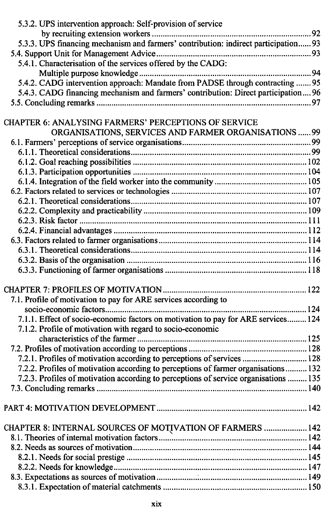| 5.3.2. UPS intervention approach: Self-provision of service                          |  |
|--------------------------------------------------------------------------------------|--|
|                                                                                      |  |
| 5.3.3. UPS financing mechanism and farmers' contribution: indirect participation 93  |  |
|                                                                                      |  |
| 5.4.1. Characterisation of the services offered by the CADG:                         |  |
|                                                                                      |  |
| 5.4.2. CADG intervention approach: Mandate from PADSE through contracting  95        |  |
| 5.4.3. CADG financing mechanism and farmers' contribution: Direct participation 96   |  |
|                                                                                      |  |
|                                                                                      |  |
| CHAPTER 6: ANALYSING FARMERS' PERCEPTIONS OF SERVICE                                 |  |
| ORGANISATIONS, SERVICES AND FARMER ORGANISATIONS  99                                 |  |
|                                                                                      |  |
|                                                                                      |  |
|                                                                                      |  |
|                                                                                      |  |
|                                                                                      |  |
|                                                                                      |  |
|                                                                                      |  |
|                                                                                      |  |
|                                                                                      |  |
|                                                                                      |  |
|                                                                                      |  |
|                                                                                      |  |
|                                                                                      |  |
|                                                                                      |  |
|                                                                                      |  |
| 7.1. Profile of motivation to pay for ARE services according to                      |  |
|                                                                                      |  |
| 7.1.1. Effect of socio-economic factors on motivation to pay for ARE services 124    |  |
| 7.1.2. Profile of motivation with regard to socio-economic                           |  |
|                                                                                      |  |
|                                                                                      |  |
| 7.2.1. Profiles of motivation according to perceptions of services  128              |  |
| 7.2.2. Profiles of motivation according to perceptions of farmer organisations 132   |  |
| 7.2.3. Profiles of motivation according to perceptions of service organisations  135 |  |
|                                                                                      |  |
|                                                                                      |  |
|                                                                                      |  |
|                                                                                      |  |
|                                                                                      |  |
|                                                                                      |  |
|                                                                                      |  |
|                                                                                      |  |
|                                                                                      |  |
|                                                                                      |  |